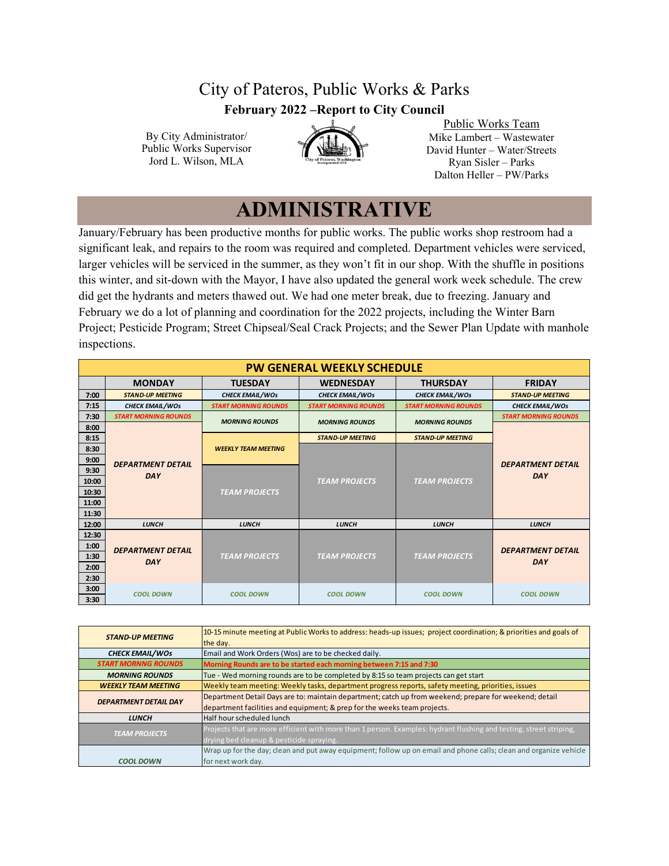## City of Pateros, Public Works & Parks **February 2022 –Report to City Council**

By City Administrator/ Public Works Supervisor Jord L. Wilson, MLA



Public Works Team Mike Lambert – Wastewater David Hunter – Water/Streets Ryan Sisler – Parks Dalton Heller – PW/Parks

## **ADMINISTRATIVE**

January/February has been productive months for public works. The public works shop restroom had a significant leak, and repairs to the room was required and completed. Department vehicles were serviced, larger vehicles will be serviced in the summer, as they won't fit in our shop. With the shuffle in positions this winter, and sit-down with the Mayor, I have also updated the general work week schedule. The crew did get the hydrants and meters thawed out. We had one meter break, due to freezing. January and February we do a lot of planning and coordination for the 2022 projects, including the Winter Barn Project; Pesticide Program; Street Chipseal/Seal Crack Projects; and the Sewer Plan Update with manhole inspections.

|              | <b>PW GENERAL WEEKLY SCHEDULE</b>    |                             |                                                            |                         |                                        |  |  |  |  |  |  |  |
|--------------|--------------------------------------|-----------------------------|------------------------------------------------------------|-------------------------|----------------------------------------|--|--|--|--|--|--|--|
|              | <b>MONDAY</b>                        | <b>TUESDAY</b>              | <b>FRIDAY</b>                                              |                         |                                        |  |  |  |  |  |  |  |
| 7:00         | <b>STAND-UP MEETING</b>              | <b>CHECK EMAIL/WOS</b>      | <b>CHECK EMAIL/WOS</b>                                     | <b>CHECK EMAIL/WOS</b>  | <b>STAND-UP MEETING</b>                |  |  |  |  |  |  |  |
| 7:15         | <b>CHECK EMAIL/WOS</b>               | <b>START MORNING ROUNDS</b> | <b>START MORNING ROUNDS</b><br><b>START MORNING ROUNDS</b> |                         | <b>CHECK EMAIL/WOS</b>                 |  |  |  |  |  |  |  |
| 7:30         | <b>START MORNING ROUNDS</b>          | <b>MORNING ROUNDS</b>       | <b>MORNING ROUNDS</b>                                      | <b>MORNING ROUNDS</b>   | <b>START MORNING ROUNDS</b>            |  |  |  |  |  |  |  |
| 8:00         |                                      |                             |                                                            |                         |                                        |  |  |  |  |  |  |  |
| 8:15         |                                      |                             | <b>STAND-UP MEETING</b>                                    | <b>STAND-UP MEETING</b> |                                        |  |  |  |  |  |  |  |
| 8:30         |                                      | <b>WEEKLY TEAM MEETING</b>  |                                                            |                         |                                        |  |  |  |  |  |  |  |
| 9:00         | <b>DEPARTMENT DETAIL</b>             |                             |                                                            |                         | <b>DEPARTMENT DETAIL</b><br><b>DAY</b> |  |  |  |  |  |  |  |
| 9:30         | <b>DAY</b>                           |                             |                                                            |                         |                                        |  |  |  |  |  |  |  |
| 10:00        |                                      |                             | <b>TEAM PROJECTS</b>                                       | <b>TEAM PROJECTS</b>    |                                        |  |  |  |  |  |  |  |
| 10:30        |                                      | <b>TEAM PROJECTS</b>        |                                                            |                         |                                        |  |  |  |  |  |  |  |
| 11:00        |                                      |                             |                                                            |                         |                                        |  |  |  |  |  |  |  |
| 11:30        |                                      |                             |                                                            |                         |                                        |  |  |  |  |  |  |  |
| 12:00        | <b>LUNCH</b>                         | <b>LUNCH</b>                | <b>LUNCH</b>                                               | <b>LUNCH</b>            | <b>LUNCH</b>                           |  |  |  |  |  |  |  |
| 12:30        |                                      |                             |                                                            |                         |                                        |  |  |  |  |  |  |  |
| 1:00         | <b>DEPARTMENT DETAIL</b>             |                             |                                                            |                         | <b>DEPARTMENT DETAIL</b>               |  |  |  |  |  |  |  |
| 1:30         | <b>DAY</b>                           | <b>TEAM PROJECTS</b>        | <b>TEAM PROJECTS</b>                                       | <b>TEAM PROJECTS</b>    | <b>DAY</b>                             |  |  |  |  |  |  |  |
| 2:00         |                                      |                             |                                                            |                         |                                        |  |  |  |  |  |  |  |
| 2:30         |                                      |                             |                                                            |                         |                                        |  |  |  |  |  |  |  |
| 3:00<br>3:30 | <b>COOL DOWN</b><br><b>COOL DOWN</b> |                             | <b>COOL DOWN</b>                                           | <b>COOL DOWN</b>        | <b>COOL DOWN</b>                       |  |  |  |  |  |  |  |

| <b>STAND-UP MEETING</b>      | 10-15 minute meeting at Public Works to address: heads-up issues; project coordination; & priorities and goals of<br>the day. |  |  |  |  |  |  |
|------------------------------|-------------------------------------------------------------------------------------------------------------------------------|--|--|--|--|--|--|
| <b>CHECK EMAIL/WOS</b>       | Email and Work Orders (Wos) are to be checked daily.                                                                          |  |  |  |  |  |  |
| <b>START MORNNG ROUNDS</b>   | Morning Rounds are to be started each morning between 7:15 and 7:30                                                           |  |  |  |  |  |  |
| <b>MORNING ROUNDS</b>        | Tue - Wed morning rounds are to be completed by 8:15 so team projects can get start                                           |  |  |  |  |  |  |
| <b>WEEKLY TEAM MEETING</b>   | Weekly team meeting: Weekly tasks, department progress reports, safety meeting, priorities, issues                            |  |  |  |  |  |  |
| <b>DEPARTMENT DETAIL DAY</b> | Department Detail Days are to: maintain department; catch up from weekend; prepare for weekend; detail                        |  |  |  |  |  |  |
|                              | department facilities and equipment; & prep for the weeks team projects.                                                      |  |  |  |  |  |  |
| <b>LUNCH</b>                 | Half hour scheduled lunch                                                                                                     |  |  |  |  |  |  |
| <b>TEAM PROJECTS</b>         | Projects that are more efficient with more than 1 person. Examples: hydrant flushing and testing, street striping,            |  |  |  |  |  |  |
|                              | drying bed cleanup & pesticide spraying.                                                                                      |  |  |  |  |  |  |
|                              | Wrap up for the day; clean and put away equipment; follow up on email and phone calls; clean and organize vehicle             |  |  |  |  |  |  |
| <b>COOL DOWN</b>             | for next work day.                                                                                                            |  |  |  |  |  |  |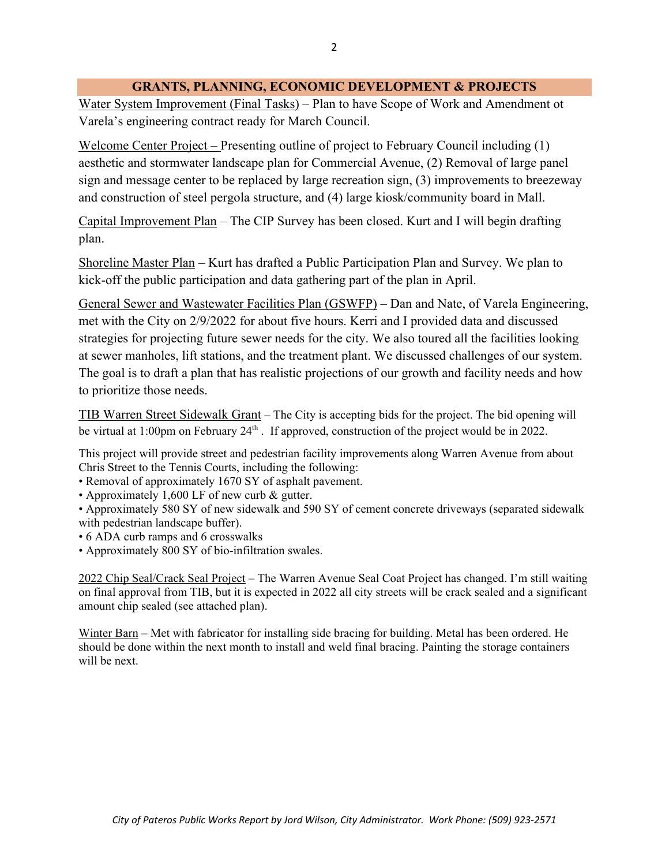#### **GRANTS, PLANNING, ECONOMIC DEVELOPMENT & PROJECTS**

Water System Improvement (Final Tasks) – Plan to have Scope of Work and Amendment ot Varela's engineering contract ready for March Council.

Welcome Center Project – Presenting outline of project to February Council including (1) aesthetic and stormwater landscape plan for Commercial Avenue, (2) Removal of large panel sign and message center to be replaced by large recreation sign, (3) improvements to breezeway and construction of steel pergola structure, and (4) large kiosk/community board in Mall.

Capital Improvement Plan – The CIP Survey has been closed. Kurt and I will begin drafting plan.

Shoreline Master Plan – Kurt has drafted a Public Participation Plan and Survey. We plan to kick-off the public participation and data gathering part of the plan in April.

General Sewer and Wastewater Facilities Plan (GSWFP) – Dan and Nate, of Varela Engineering, met with the City on 2/9/2022 for about five hours. Kerri and I provided data and discussed strategies for projecting future sewer needs for the city. We also toured all the facilities looking at sewer manholes, lift stations, and the treatment plant. We discussed challenges of our system. The goal is to draft a plan that has realistic projections of our growth and facility needs and how to prioritize those needs.

TIB Warren Street Sidewalk Grant – The City is accepting bids for the project. The bid opening will be virtual at 1:00pm on February  $24<sup>th</sup>$ . If approved, construction of the project would be in 2022.

This project will provide street and pedestrian facility improvements along Warren Avenue from about Chris Street to the Tennis Courts, including the following:

- Removal of approximately 1670 SY of asphalt pavement.
- Approximately 1,600 LF of new curb & gutter.
- Approximately 580 SY of new sidewalk and 590 SY of cement concrete driveways (separated sidewalk with pedestrian landscape buffer).
- 6 ADA curb ramps and 6 crosswalks
- Approximately 800 SY of bio-infiltration swales.

2022 Chip Seal/Crack Seal Project – The Warren Avenue Seal Coat Project has changed. I'm still waiting on final approval from TIB, but it is expected in 2022 all city streets will be crack sealed and a significant amount chip sealed (see attached plan).

Winter Barn – Met with fabricator for installing side bracing for building. Metal has been ordered. He should be done within the next month to install and weld final bracing. Painting the storage containers will be next.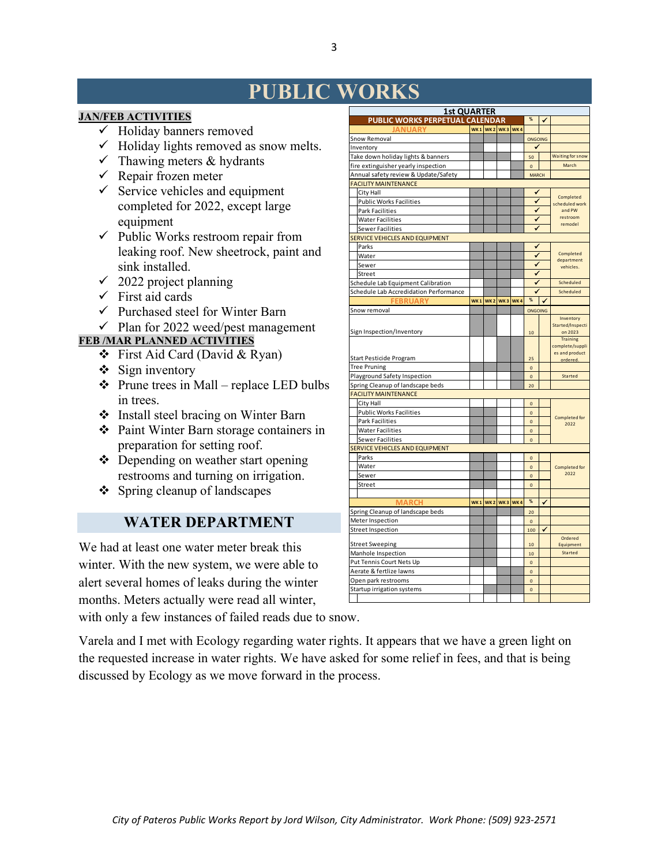# **PUBLIC WORKS**

#### **JAN/FEB ACTIVITIES**

- $\checkmark$  Holiday banners removed
- $\checkmark$  Holiday lights removed as snow melts.
- $\checkmark$  Thawing meters & hydrants
- $\checkmark$  Repair frozen meter
- $\checkmark$  Service vehicles and equipment completed for 2022, except large equipment
- $\checkmark$  Public Works restroom repair from leaking roof. New sheetrock, paint and sink installed.
- $\checkmark$  2022 project planning
- $\checkmark$  First aid cards
- $\checkmark$  Purchased steel for Winter Barn
- $\checkmark$  Plan for 2022 weed/pest management

#### **FEB /MAR PLANNED ACTIVITIES**

- First Aid Card (David & Ryan)
- $\div$  Sign inventory
- $\triangle$  Prune trees in Mall replace LED bulbs in trees.
- Install steel bracing on Winter Barn
- Paint Winter Barn storage containers in preparation for setting roof.
- Depending on weather start opening restrooms and turning on irrigation.
- Spring cleanup of landscapes

### **WATER DEPARTMENT**

We had at least one water meter break this winter. With the new system, we were able to alert several homes of leaks during the winter months. Meters actually were read all winter, with only a few instances of failed reads due to snow.

Varela and I met with Ecology regarding water rights. It appears that we have a green light on the requested increase in water rights. We have asked for some relief in fees, and that is being discussed by Ecology as we move forward in the process.

| <b>1st QUARTER</b>                     |            |                 |                                 |     |                |                     |                             |  |  |  |
|----------------------------------------|------------|-----------------|---------------------------------|-----|----------------|---------------------|-----------------------------|--|--|--|
| PUBLIC WORKS PERPETUAL CALENDAR        |            |                 |                                 |     | $\%$           | ✓                   |                             |  |  |  |
| <b>ANIIARY</b>                         |            | WK1 WK2 WK3 WK4 |                                 |     |                |                     |                             |  |  |  |
| Snow Removal                           |            |                 |                                 |     | ONGOING        |                     |                             |  |  |  |
| Inventory                              |            |                 |                                 |     | ✔              |                     |                             |  |  |  |
| Take down holiday lights & banners     |            |                 |                                 |     | 50             |                     | <b>Waiting for snow</b>     |  |  |  |
| fire extinguisher yearly inspection    |            |                 |                                 |     | $\Omega$       |                     | March                       |  |  |  |
| Annual safety review & Update/Safety   |            |                 |                                 |     | <b>MARCH</b>   |                     |                             |  |  |  |
| <b>FACILITY MAINTENANCE</b>            |            |                 |                                 |     |                |                     |                             |  |  |  |
| City Hall                              |            |                 |                                 |     | ں              |                     | Completed                   |  |  |  |
| <b>Public Works Facilities</b>         |            |                 |                                 |     |                | 7<br>scheduled work |                             |  |  |  |
| <b>Park Facilities</b>                 |            |                 |                                 |     | ✔              |                     | and PW                      |  |  |  |
| <b>Water Facilities</b>                |            |                 |                                 |     | ✔              |                     | restroom<br>remodel         |  |  |  |
| <b>Sewer Facilities</b>                |            |                 |                                 |     | ✔              |                     |                             |  |  |  |
| SERVICE VEHICLES AND EQUIPMENT         |            |                 |                                 |     |                |                     |                             |  |  |  |
| Parks                                  |            |                 |                                 |     | ✔              |                     |                             |  |  |  |
| Water                                  |            |                 |                                 |     | ✔              |                     | Completed<br>department     |  |  |  |
| Sewer                                  |            |                 |                                 |     |                |                     | vehicles.                   |  |  |  |
| Street                                 |            |                 |                                 |     | ✔              |                     |                             |  |  |  |
| Schedule Lab Equipment Calibration     |            |                 |                                 |     | ✓              |                     | Scheduled                   |  |  |  |
| Schedule Lab Accredidation Performance |            |                 |                                 |     |                |                     | Scheduled                   |  |  |  |
| <b>FEBRUARY</b>                        | <b>WK1</b> |                 | WK <sub>2</sub> WK <sub>3</sub> | WK4 | %              | √                   |                             |  |  |  |
| Snow removal                           |            |                 |                                 |     | ONGOING        |                     |                             |  |  |  |
|                                        |            |                 |                                 |     |                |                     | Inventory                   |  |  |  |
| Sign Inspection/Inventory              |            |                 |                                 |     | 10             |                     | Started/Inspecti<br>on 2023 |  |  |  |
|                                        |            |                 |                                 |     |                |                     | <b>Training</b>             |  |  |  |
|                                        |            |                 |                                 |     |                |                     | complete/suppli             |  |  |  |
| Start Pesticide Program                |            |                 |                                 |     | 25             |                     | es and product<br>ordered.  |  |  |  |
| <b>Tree Pruning</b>                    |            |                 |                                 |     | $\mathbf{0}$   |                     |                             |  |  |  |
| Playground Safety Inspection           |            |                 |                                 |     | $\mathbf{0}$   |                     | Started                     |  |  |  |
| Spring Cleanup of landscape beds       |            |                 |                                 |     | 20             |                     |                             |  |  |  |
| <b>FACILITY MAINTENANCE</b>            |            |                 |                                 |     |                |                     |                             |  |  |  |
| City Hall                              |            |                 |                                 |     | $\overline{0}$ |                     |                             |  |  |  |
| <b>Public Works Facilities</b>         |            |                 |                                 |     | $\Omega$       |                     |                             |  |  |  |
| <b>Park Facilities</b>                 |            |                 |                                 |     | O              |                     | Completed for<br>2022       |  |  |  |
| <b>Water Facilities</b>                |            |                 |                                 |     | $\mathbf{0}$   |                     |                             |  |  |  |
| <b>Sewer Facilities</b>                |            |                 |                                 |     | $\mathbf 0$    |                     |                             |  |  |  |
| SERVICE VEHICLES AND EQUIPMENT         |            |                 |                                 |     |                |                     |                             |  |  |  |
| Parks                                  |            |                 |                                 |     | $\Omega$       |                     |                             |  |  |  |
| Water                                  |            |                 |                                 |     | $\overline{0}$ |                     | Completed for               |  |  |  |
| Sewer                                  |            |                 |                                 |     | $\pmb{0}$      |                     | 2022                        |  |  |  |
| Street                                 |            |                 |                                 |     | $\pmb{0}$      |                     |                             |  |  |  |
|                                        |            |                 |                                 |     |                |                     |                             |  |  |  |
| <b>MARCH</b>                           | <b>WK1</b> |                 | <b>WK2 WK3 WK4</b>              |     | $\%$           | ✓                   |                             |  |  |  |
| Spring Cleanup of landscape beds       |            |                 |                                 |     | 20             |                     |                             |  |  |  |
| Meter Inspection                       |            |                 |                                 |     | $\mathbf{0}$   |                     |                             |  |  |  |
| <b>Street Inspection</b>               |            |                 |                                 |     | 100            | √                   |                             |  |  |  |
|                                        |            |                 |                                 |     |                |                     | Ordered                     |  |  |  |
| <b>Street Sweeping</b>                 |            |                 |                                 |     | 10             |                     | Equipment                   |  |  |  |
| Manhole Inspection                     |            |                 |                                 |     | 10             |                     | Started                     |  |  |  |
| Put Tennis Court Nets Up               |            |                 |                                 |     | $\mathbf{o}$   |                     |                             |  |  |  |
| Aerate & fertlize lawns                |            |                 |                                 |     | $\mathbf 0$    |                     |                             |  |  |  |
| Open park restrooms                    |            |                 |                                 |     | $\mathbf 0$    |                     |                             |  |  |  |
| Startup irrigation systems             |            |                 |                                 |     | $\mathbf{0}$   |                     |                             |  |  |  |
|                                        |            |                 |                                 |     |                |                     |                             |  |  |  |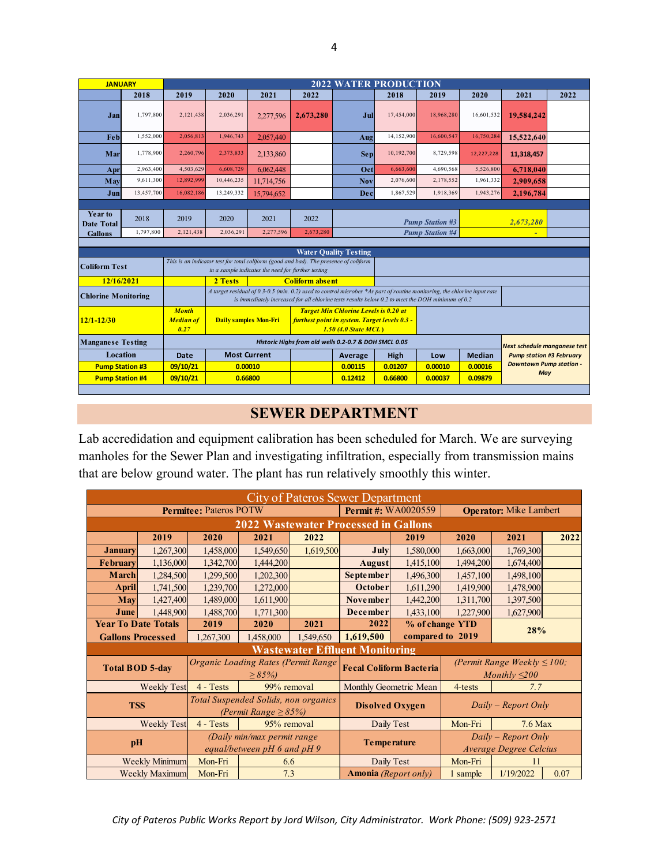| 2018<br>2019<br>2020<br>2021<br>2022<br>2018<br>2019<br>2020<br>1,797,800<br>16,601,532<br>2.121.438<br>2,036,291<br>17,454,000<br>18,968,280<br>Jan<br>2,277,596<br>2,673,280<br>Jul<br>1,552,000<br>1,946,743<br>16,750,284<br>Feb<br>2,056,813<br>14,152,900<br>16,600,547<br>2.057.440 | 2022<br>2021 | 19,584,242                          |            |  |  |  |     |  |  |  |  | <b>2022 WATER PRODUCTION</b> |  |  |  |  |  |  |  |  |  |  |  |
|--------------------------------------------------------------------------------------------------------------------------------------------------------------------------------------------------------------------------------------------------------------------------------------------|--------------|-------------------------------------|------------|--|--|--|-----|--|--|--|--|------------------------------|--|--|--|--|--|--|--|--|--|--|--|
|                                                                                                                                                                                                                                                                                            |              |                                     |            |  |  |  |     |  |  |  |  |                              |  |  |  |  |  |  |  |  |  |  |  |
|                                                                                                                                                                                                                                                                                            |              |                                     |            |  |  |  |     |  |  |  |  |                              |  |  |  |  |  |  |  |  |  |  |  |
|                                                                                                                                                                                                                                                                                            |              |                                     | 15,522,640 |  |  |  | Aug |  |  |  |  |                              |  |  |  |  |  |  |  |  |  |  |  |
| 1,778,900<br>2,260,796<br>2,373,833<br>10,192,700<br>8,729,598<br>Mar<br>2,133,860<br><b>Sep</b><br>12,227,228                                                                                                                                                                             |              | 11,318,457                          |            |  |  |  |     |  |  |  |  |                              |  |  |  |  |  |  |  |  |  |  |  |
| 2,963,400<br>6,608,729<br>6,663,600<br>4,503,629<br>6.062.448<br>4,690,568<br>5,526,800<br>Oct<br>Apr                                                                                                                                                                                      |              | 6,718,040                           |            |  |  |  |     |  |  |  |  |                              |  |  |  |  |  |  |  |  |  |  |  |
| 12,892,999<br>9,611,300<br>10,446,235<br>2,076,600<br>1,961,332<br><b>Nov</b><br>2,178,552<br>May<br>11,714,756                                                                                                                                                                            |              | 2,909,658                           |            |  |  |  |     |  |  |  |  |                              |  |  |  |  |  |  |  |  |  |  |  |
| 13,457,700<br>16,082,186<br>13,249,332<br>1,867,529<br>1,918,369<br>1,943,276<br>Dec<br>Jun<br>15,794,652                                                                                                                                                                                  |              | 2,196,784                           |            |  |  |  |     |  |  |  |  |                              |  |  |  |  |  |  |  |  |  |  |  |
|                                                                                                                                                                                                                                                                                            |              |                                     |            |  |  |  |     |  |  |  |  |                              |  |  |  |  |  |  |  |  |  |  |  |
| <b>Year to</b><br>2018<br>2019<br>2020<br>2022<br>2021<br><b>Pump Station #3</b><br><b>Date Total</b>                                                                                                                                                                                      | 2,673,280    |                                     |            |  |  |  |     |  |  |  |  |                              |  |  |  |  |  |  |  |  |  |  |  |
| 1,797,800<br>2,673,280<br>2,121,438<br>2,036,291<br>2,277,596<br><b>Pump Station #4</b><br><b>Gallons</b>                                                                                                                                                                                  | ÷            |                                     |            |  |  |  |     |  |  |  |  |                              |  |  |  |  |  |  |  |  |  |  |  |
| <b>Water Quality Testing</b>                                                                                                                                                                                                                                                               |              |                                     |            |  |  |  |     |  |  |  |  |                              |  |  |  |  |  |  |  |  |  |  |  |
| This is an indicator test for total coliform (good and bad). The presence of coliform<br><b>Coliform Test</b><br>in a sample indicates the need for further testing                                                                                                                        |              |                                     |            |  |  |  |     |  |  |  |  |                              |  |  |  |  |  |  |  |  |  |  |  |
| 12/16/2021<br>2 Tests<br><b>Coliform absent</b>                                                                                                                                                                                                                                            |              |                                     |            |  |  |  |     |  |  |  |  |                              |  |  |  |  |  |  |  |  |  |  |  |
| A target residual of 0.3-0.5 (min. 0.2) used to control microbes *As part of routine monitoring, the chlorine input rate<br><b>Chlorine Monitoring</b><br>is immediately increased for all chlorine tests results below 0.2 to meet the DOH minimum of 0.2                                 |              |                                     |            |  |  |  |     |  |  |  |  |                              |  |  |  |  |  |  |  |  |  |  |  |
| <b>Target Min Chlorine Levels is 0.20 at</b><br><b>Month</b><br>$12/1 - 12/30$<br>furthest point in system. Target levels 0.3 -<br><b>Median of</b><br><b>Daily samples Mon-Fri</b><br>0.27<br>$1.50$ (4.0 State MCL)                                                                      |              |                                     |            |  |  |  |     |  |  |  |  |                              |  |  |  |  |  |  |  |  |  |  |  |
| <b>Manganese Testing</b><br>Historic Highs from old wells 0.2-0.7 & DOH SMCL 0.05                                                                                                                                                                                                          |              | <b>Next schedule managnese test</b> |            |  |  |  |     |  |  |  |  |                              |  |  |  |  |  |  |  |  |  |  |  |
| Location<br><b>Most Current</b><br><b>Median</b><br>Date<br>High<br>Low<br>Average                                                                                                                                                                                                         |              | <b>Pump station #3 February</b>     |            |  |  |  |     |  |  |  |  |                              |  |  |  |  |  |  |  |  |  |  |  |
| 09/10/21<br>0.00115<br>0.01207<br>0.00016<br><b>Pump Station #3</b><br>0.00010<br>0.00010                                                                                                                                                                                                  | May          | <b>Downtown Pump station -</b>      |            |  |  |  |     |  |  |  |  |                              |  |  |  |  |  |  |  |  |  |  |  |
| 09/10/21<br>0.66800<br><b>Pump Station #4</b><br>0.12412<br>0.66800<br>0.00037<br>0.09879                                                                                                                                                                                                  |              |                                     |            |  |  |  |     |  |  |  |  |                              |  |  |  |  |  |  |  |  |  |  |  |

## **SEWER DEPARTMENT**

Lab accredidation and equipment calibration has been scheduled for March. We are surveying manholes for the Sewer Plan and investigating infiltration, especially from transmission mains that are below ground water. The plant has run relatively smoothly this winter.

| <b>City of Pateros Sewer Department</b> |                                       |                                                                   |                                                    |                                             |                               |                                |                                                 |                                                        |      |  |  |  |
|-----------------------------------------|---------------------------------------|-------------------------------------------------------------------|----------------------------------------------------|---------------------------------------------|-------------------------------|--------------------------------|-------------------------------------------------|--------------------------------------------------------|------|--|--|--|
|                                         |                                       | <b>Permitee: Pateros POTW</b>                                     |                                                    |                                             | Permit#: WA0020559            | <b>Operator:</b> Mike Lambert  |                                                 |                                                        |      |  |  |  |
|                                         |                                       |                                                                   |                                                    | <b>2022 Wastewater Processed in Gallons</b> |                               |                                |                                                 |                                                        |      |  |  |  |
|                                         | 2019                                  | 2020                                                              | 2021                                               | 2022                                        | 2019                          |                                | 2020                                            | 2021                                                   | 2022 |  |  |  |
| <b>January</b>                          | 1,267,300                             | 1,458,000                                                         | 1,549,650                                          | 1,619,500                                   | July                          | 1,580,000                      | 1,663,000                                       | 1,769,300                                              |      |  |  |  |
| <b>February</b>                         | 1,136,000                             | 1,342,700                                                         | 1,444,200                                          |                                             | <b>August</b>                 | 1,415,100                      | 1,494,200                                       | 1,674,400                                              |      |  |  |  |
| March                                   | 1,284,500                             | 1,299,500                                                         | 1,202,300                                          |                                             | <b>September</b>              | 1,496,300                      | 1,457,100                                       | 1,498,100                                              |      |  |  |  |
| <b>April</b>                            | 1,741,500                             | 1,239,700                                                         | 1,272,000                                          |                                             | <b>October</b>                | 1,611,290                      | 1,419,900                                       | 1,478,900                                              |      |  |  |  |
| May                                     | 1,427,400                             | 1,489,000                                                         | 1,611,900                                          |                                             |                               | <b>November</b><br>1,442,200   |                                                 | 1,311,700<br>1,397,500                                 |      |  |  |  |
| 1,448,900<br>June                       |                                       | 1,488,700                                                         | 1,771,300                                          |                                             | <b>December</b>               | 1,433,100                      | 1,227,900                                       | 1,627,900                                              |      |  |  |  |
| <b>Year To Date Totals</b>              |                                       | 2019                                                              | 2020                                               | 2021                                        | 2022                          |                                | % of change YTD                                 | 28%                                                    |      |  |  |  |
| <b>Gallons Processed</b>                |                                       | 1,267,300                                                         | 1,458,000                                          | 1,549,650                                   | 1,619,500                     |                                | compared to 2019                                |                                                        |      |  |  |  |
|                                         | <b>Wastewater Effluent Monitoring</b> |                                                                   |                                                    |                                             |                               |                                |                                                 |                                                        |      |  |  |  |
| <b>Total BOD 5-day</b>                  |                                       |                                                                   | Organic Loading Rates (Permit Range<br>$\geq$ 85%) |                                             |                               | <b>Fecal Coliform Bacteria</b> |                                                 | (Permit Range Weekly $\leq$ 100;<br>Monthly $\leq$ 200 |      |  |  |  |
|                                         | Weekly Test                           | 4 - Tests                                                         | 99% removal                                        |                                             | <b>Monthly Geometric Mean</b> |                                | 4-tests                                         | 7.7                                                    |      |  |  |  |
| <b>TSS</b>                              |                                       | Total Suspended Solids, non organics<br>(Permit Range $\geq$ 85%) |                                                    | <b>Disolved Oxygen</b>                      |                               | $Daily - Report$ Only          |                                                 |                                                        |      |  |  |  |
| <b>Weekly Test</b>                      |                                       | $4 - Tests$                                                       | 95% removal                                        |                                             | Daily Test                    |                                | Mon-Fri                                         | $7.6$ Max                                              |      |  |  |  |
| pH                                      |                                       | (Daily min/max permit range<br>equal/between $pH$ 6 and $pH$ 9    |                                                    |                                             | <b>Temperature</b>            |                                | $Daily - Report$ Only<br>Average Degree Celcius |                                                        |      |  |  |  |
|                                         | <b>Weekly Minimum</b>                 | Mon-Fri                                                           |                                                    | 6.6                                         |                               | Daily Test                     | Mon-Fri                                         | 11                                                     |      |  |  |  |
| <b>Weekly Maximum</b>                   |                                       | Mon-Fri                                                           | 7.3                                                |                                             | Amonia (Report only)          |                                | 1 sample                                        | 1/19/2022                                              | 0.07 |  |  |  |